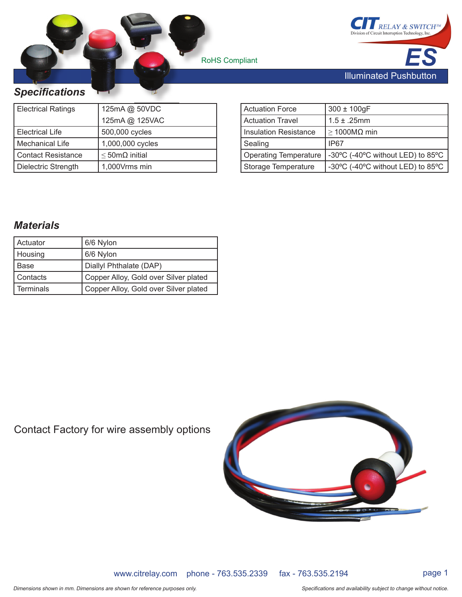RoHS Compliant **s** 



### *Specifi cations pecificati*

| <b>Electrical Ratings</b> | 125mA @ 50VDC               |  |  |  |  |
|---------------------------|-----------------------------|--|--|--|--|
|                           | 125mA @ 125VAC              |  |  |  |  |
| <b>Electrical Life</b>    | 500,000 cycles              |  |  |  |  |
| <b>Mechanical Life</b>    | 1,000,000 cycles            |  |  |  |  |
| <b>Contact Resistance</b> | $\leq$ 50m $\Omega$ initial |  |  |  |  |
| Dielectric Strength       | 1,000Vrms min               |  |  |  |  |

| Actuation Force       | $300 \pm 100$ gF                  |
|-----------------------|-----------------------------------|
| l Actuation Travel    | $1.5 \pm .25$ mm                  |
| Insulation Resistance | $\geq$ 1000MΩ min                 |
| Sealing               | IP67                              |
| Operating Temperature | -30°C (-40°C without LED) to 85°C |
| Storage Temperature   | -30°C (-40°C without LED) to 85°C |

## *Materials*

| Actuator         | 6/6 Nylon                             |
|------------------|---------------------------------------|
| Housing          | 6/6 Nylon                             |
| Base             | Diallyl Phthalate (DAP)               |
| Contacts         | Copper Alloy, Gold over Silver plated |
| <b>Terminals</b> | Copper Alloy, Gold over Silver plated |

Contact Factory for wire assembly options



www.citrelay.com phone - 763.535.2339 fax - 763.535.2194 page 1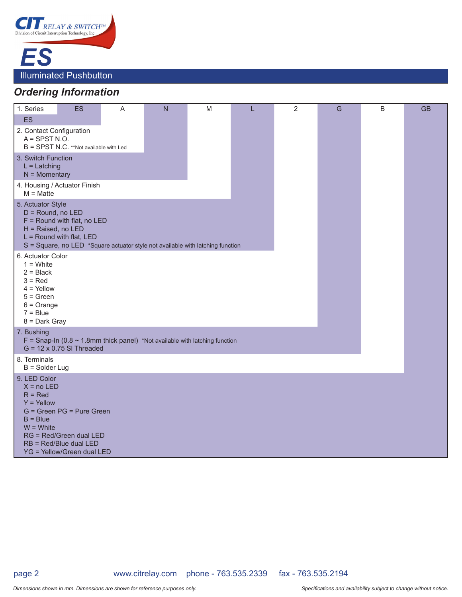

# *Ordering Information*

| 1. Series                                                                                                                                                                                                        | <b>ES</b>                                                                                                    | A | $\overline{N}$ | M | L | $\overline{2}$ | G | B | <b>GB</b> |
|------------------------------------------------------------------------------------------------------------------------------------------------------------------------------------------------------------------|--------------------------------------------------------------------------------------------------------------|---|----------------|---|---|----------------|---|---|-----------|
| <b>ES</b>                                                                                                                                                                                                        |                                                                                                              |   |                |   |   |                |   |   |           |
| 2. Contact Configuration<br>$A =$ SPST N.O.                                                                                                                                                                      |                                                                                                              |   |                |   |   |                |   |   |           |
|                                                                                                                                                                                                                  | B = SPST N.C. **Not available with Led                                                                       |   |                |   |   |                |   |   |           |
| 3. Switch Function<br>$L =$ Latching<br>$N =$ Momentary                                                                                                                                                          |                                                                                                              |   |                |   |   |                |   |   |           |
| 4. Housing / Actuator Finish<br>$M =$ Matte                                                                                                                                                                      |                                                                                                              |   |                |   |   |                |   |   |           |
| 5. Actuator Style<br>D = Round, no LED<br>$F =$ Round with flat, no LED<br>H = Raised, no LED<br>$L =$ Round with flat, LED<br>$S = Square$ , no LED *Square actuator style not available with latching function |                                                                                                              |   |                |   |   |                |   |   |           |
| 6. Actuator Color<br>$1 =$ White<br>$2 = Black$<br>$3 = Red$<br>$4 =$ Yellow<br>$5 = Green$<br>$6 = Orange$<br>$7 = Blue$<br>8 = Dark Gray                                                                       |                                                                                                              |   |                |   |   |                |   |   |           |
| 7. Bushing<br>F = Snap-In (0.8 $\sim$ 1.8mm thick panel) *Not available with latching function<br>$G = 12 \times 0.75$ SI Threaded                                                                               |                                                                                                              |   |                |   |   |                |   |   |           |
| 8. Terminals<br>$B =$ Solder Lug                                                                                                                                                                                 |                                                                                                              |   |                |   |   |                |   |   |           |
| 9. LED Color<br>$X = no LED$<br>$R = Red$<br>$Y =$ Yellow<br>$B = Blue$<br>$W = White$                                                                                                                           | G = Green PG = Pure Green<br>RG = Red/Green dual LED<br>RB = Red/Blue dual LED<br>YG = Yellow/Green dual LED |   |                |   |   |                |   |   |           |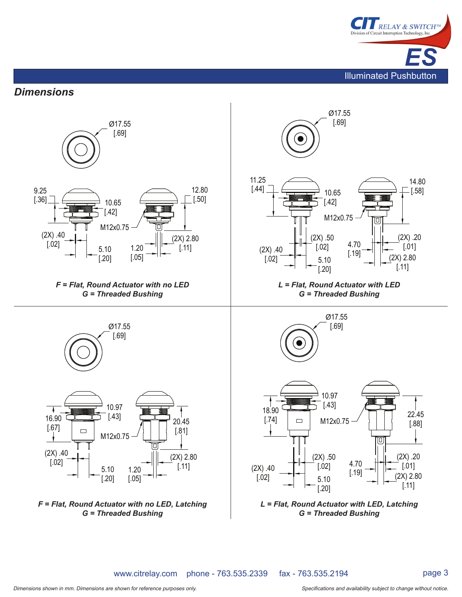

### *Dimensions*



www.citrelay.com phone - 763.535.2339 fax - 763.535.2194

page 3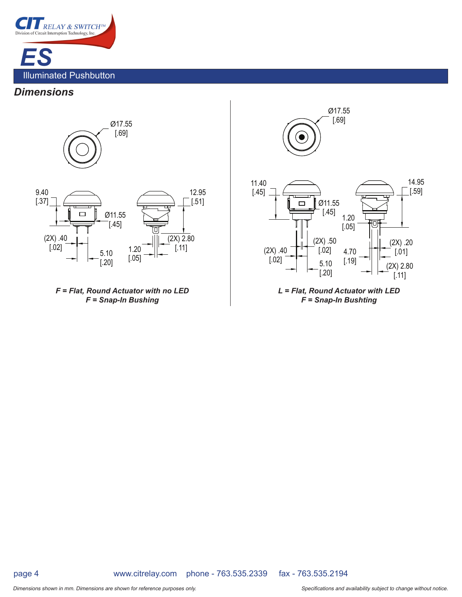

#### *Dimensions*



*F = Flat, Round Actuator with no LED F = Snap-In Bushing*

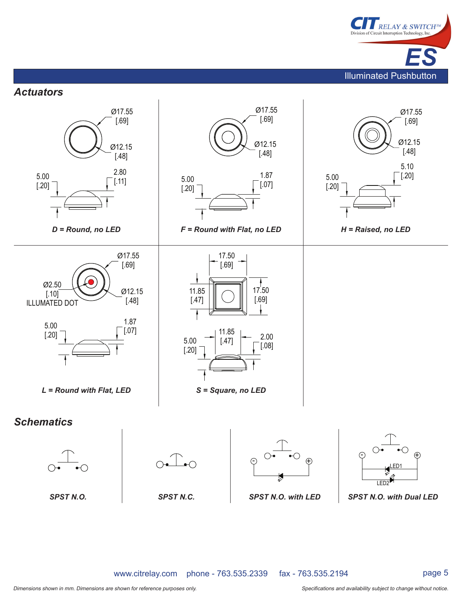

*Actuators*



page 5